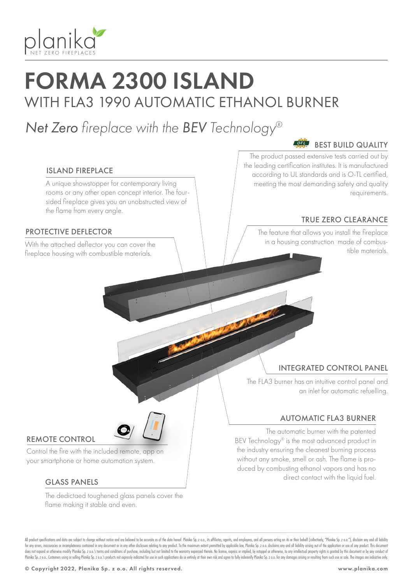

# FORMA 2300 ISLAND WITH FLA3 1990 AUTOMATIC ETHANOL BURNER

# *Net Zero fireplace with the BEV Technology®*

#### $\overline{O}$ -TL BEST BUILD QUALITY

### ISLAND FIREPLACE

A unique showstopper for contemporary living rooms or any other open concept interior. The foursided fireplace gives you an unobstructed view of the flame from every angle.

### PROTECTIVE DEFLECTOR

fireplace housing with combustible materials.

The product passed extensive tests carried out by the leading certification institutes. It is manufactured according to UL standards and is O-TL certified, meeting the most demanding safety and quality requirements.

## TRUE ZERO CLEARANCE

The feature that allows you install the fireplace in a housing construction made of combus-With the attached deflector you can cover the the state of the state of the state of the materials. The state of the materials of the materials of the materials of the materials of the materials of the materials of the mat

## INTEGRATED CONTROL PANEL

The FLA3 burner has an intuitive control panel and an inlet for automatic refuelling.

#### AUTOMATIC FLA3 BURNER

The automatic burner with the patented BEV Technology® is the most advanced product in the industry ensuring the cleanest burning process without any smoke, smell or ash. The flame is produced by combusting ethanol vapors and has no direct contact with the liquid fuel.

### REMOTE CONTROL

Control the fire with the included remote, app on your smartphone or home automation system.

### GLASS PANELS

The dedictaed toughened glass panels cover the flame making it stable and even.

All product specifications and data are subject to change without notice and are believed to be accurate as of the date hereof. Planika So, z o.o., its affiliates, agents, and employees, and all only are action on its or t for any errors, inaccuracies or incompleteness contained in any document or in any other disclosure relating to any product. To the maximum extent permitted by applicable law, Planika Sp. z o.o. disclaims any and all liabi does not expand or otherwise modify Planika Sp. z o.o.'s terms and conditions of purchase, including but not limited to the warranty expressed therein. No license, express or implied, by estoppel or otherwise, to any intel Planika Sp. z o.o. Customers using or selling Planika Sp. z o.o.'s products not expressly indicated for use in such applications do so entirely at their own risk and agree to fully indemnify Planika Sp. z o.o. for any dama